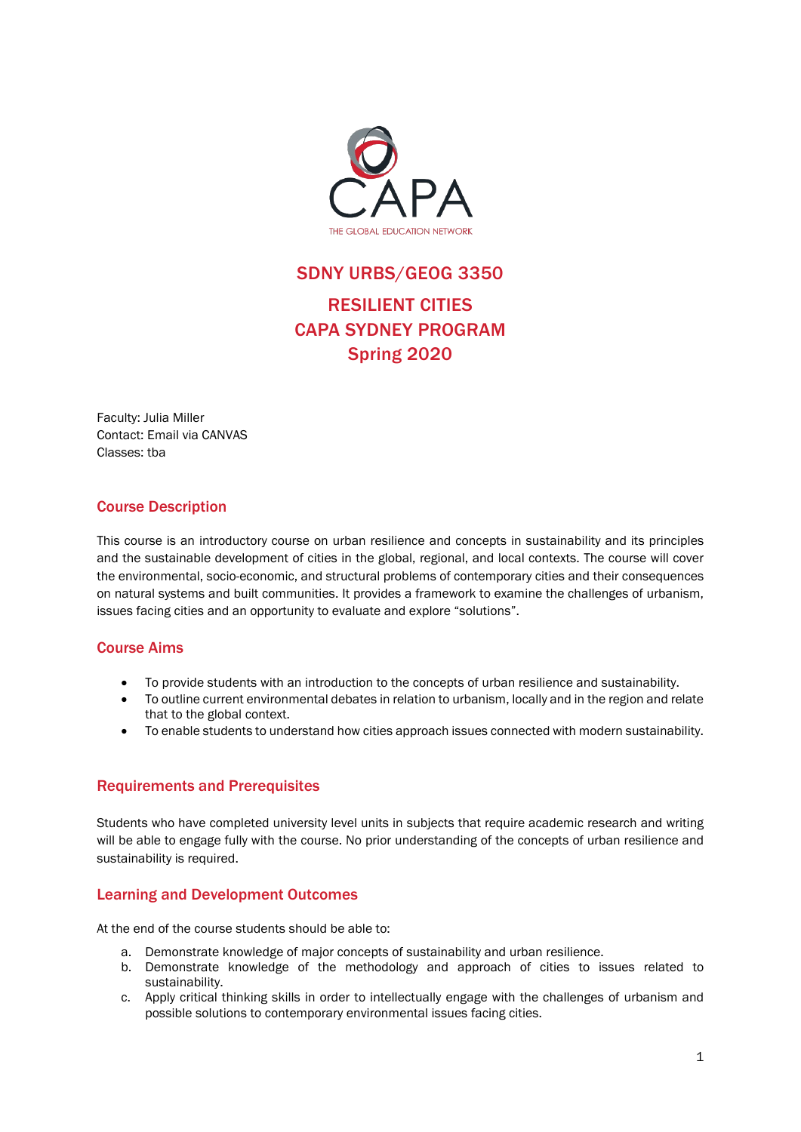

# SDNY URBS/GEOG 3350 RESILIENT CITIES CAPA SYDNEY PROGRAM Spring 2020

Faculty: Julia Miller Contact: Email via CANVAS Classes: tba

# Course Description

This course is an introductory course on urban resilience and concepts in sustainability and its principles and the sustainable development of cities in the global, regional, and local contexts. The course will cover the environmental, socio-economic, and structural problems of contemporary cities and their consequences on natural systems and built communities. It provides a framework to examine the challenges of urbanism, issues facing cities and an opportunity to evaluate and explore "solutions".

# Course Aims

- To provide students with an introduction to the concepts of urban resilience and sustainability.
- To outline current environmental debates in relation to urbanism, locally and in the region and relate that to the global context.
- To enable students to understand how cities approach issues connected with modern sustainability.

# Requirements and Prerequisites

Students who have completed university level units in subjects that require academic research and writing will be able to engage fully with the course. No prior understanding of the concepts of urban resilience and sustainability is required.

# Learning and Development Outcomes

At the end of the course students should be able to:

- a. Demonstrate knowledge of major concepts of sustainability and urban resilience.
- b. Demonstrate knowledge of the methodology and approach of cities to issues related to sustainability.
- c. Apply critical thinking skills in order to intellectually engage with the challenges of urbanism and possible solutions to contemporary environmental issues facing cities.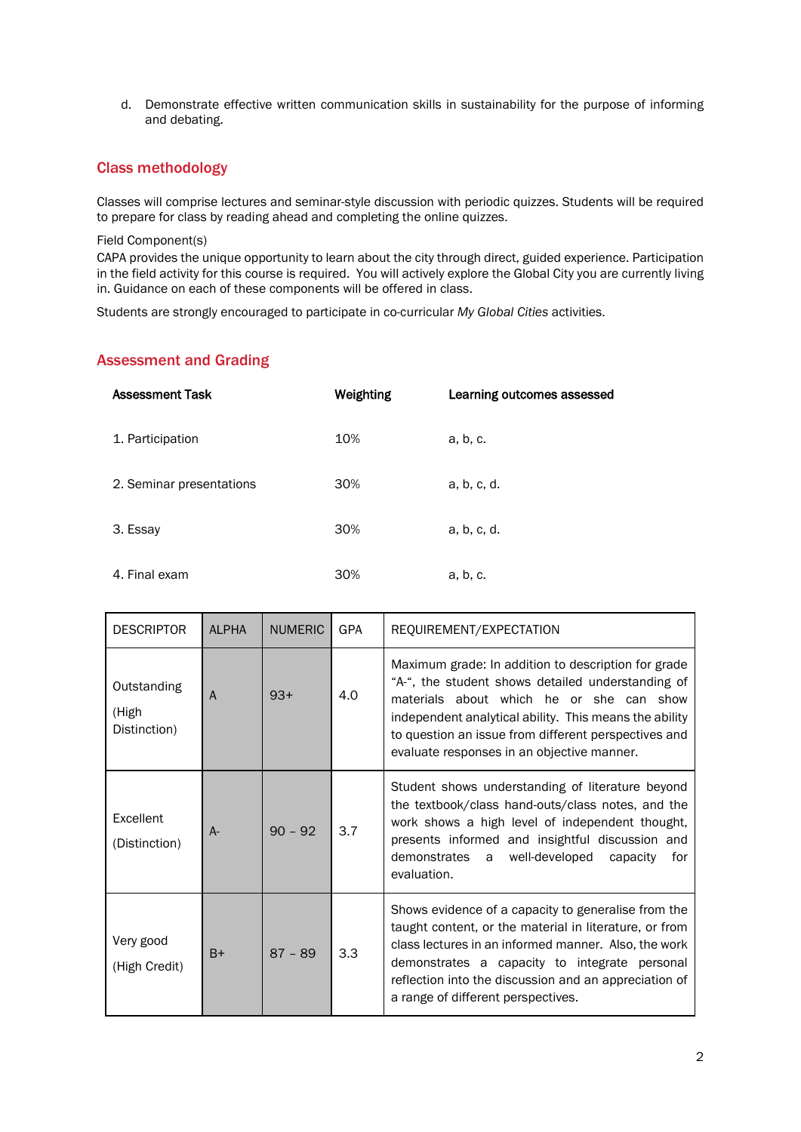d. Demonstrate effective written communication skills in sustainability for the purpose of informing and debating.

# Class methodology

Classes will comprise lectures and seminar-style discussion with periodic quizzes. Students will be required to prepare for class by reading ahead and completing the online quizzes.

Field Component(s)

CAPA provides the unique opportunity to learn about the city through direct, guided experience. Participation in the field activity for this course is required. You will actively explore the Global City you are currently living in. Guidance on each of these components will be offered in class.

Students are strongly encouraged to participate in co-curricular *My Global Cities* activities.

### Assessment and Grading

| <b>Assessment Task</b>   | Weighting | Learning outcomes assessed |
|--------------------------|-----------|----------------------------|
| 1. Participation         | 10%       | a, b, c.                   |
| 2. Seminar presentations | 30%       | a, b, c, d.                |
| 3. Essay                 | 30%       | a, b, c, d.                |
| 4. Final exam            | 30%       | a, b, c.                   |

| <b>DESCRIPTOR</b>                    | <b>ALPHA</b> | <b>NUMERIC</b> | <b>GPA</b> | REQUIREMENT/EXPECTATION                                                                                                                                                                                                                                                                                               |
|--------------------------------------|--------------|----------------|------------|-----------------------------------------------------------------------------------------------------------------------------------------------------------------------------------------------------------------------------------------------------------------------------------------------------------------------|
| Outstanding<br>(High<br>Distinction) | A            | $93+$          | 4.0        | Maximum grade: In addition to description for grade<br>"A-", the student shows detailed understanding of<br>materials about which he or she can show<br>independent analytical ability. This means the ability<br>to question an issue from different perspectives and<br>evaluate responses in an objective manner.  |
| Excellent<br>(Distinction)           | $A -$        | $90 - 92$      | 3.7        | Student shows understanding of literature beyond<br>the textbook/class hand-outs/class notes, and the<br>work shows a high level of independent thought,<br>presents informed and insightful discussion and<br>demonstrates a<br>well-developed<br>capacity<br>for<br>evaluation.                                     |
| Very good<br>(High Credit)           | $B+$         | $87 - 89$      | 3.3        | Shows evidence of a capacity to generalise from the<br>taught content, or the material in literature, or from<br>class lectures in an informed manner. Also, the work<br>demonstrates a capacity to integrate personal<br>reflection into the discussion and an appreciation of<br>a range of different perspectives. |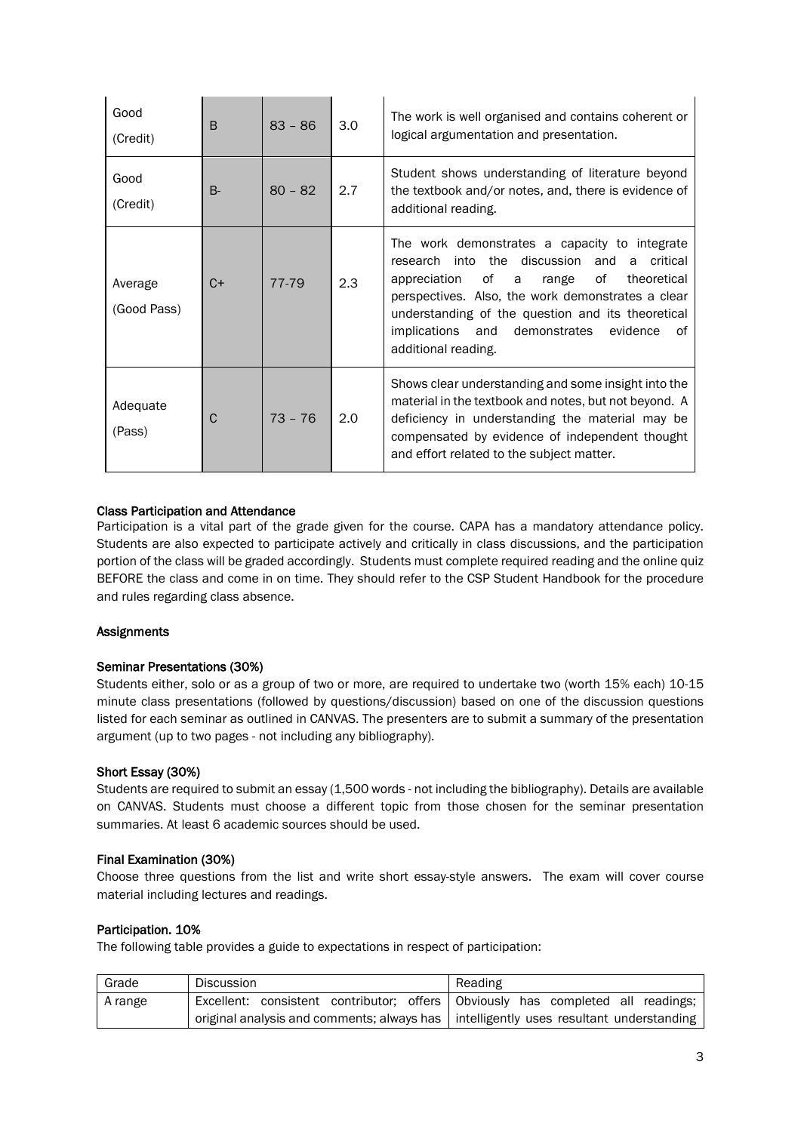| Good<br>(Credit)       | B     | $83 - 86$ | 3.0 | The work is well organised and contains coherent or<br>logical argumentation and presentation.                                                                                                                                                                                                                                                  |
|------------------------|-------|-----------|-----|-------------------------------------------------------------------------------------------------------------------------------------------------------------------------------------------------------------------------------------------------------------------------------------------------------------------------------------------------|
| Good<br>(Credit)       | $B -$ | $80 - 82$ | 2.7 | Student shows understanding of literature beyond<br>the textbook and/or notes, and, there is evidence of<br>additional reading.                                                                                                                                                                                                                 |
| Average<br>(Good Pass) | $C+$  | 77-79     | 2.3 | The work demonstrates a capacity to integrate<br>the discussion<br>research<br>into<br>a critical<br>and<br>appreciation of a<br>of<br>theoretical<br>range<br>perspectives. Also, the work demonstrates a clear<br>understanding of the question and its theoretical<br>implications and demonstrates<br>evidence<br>of<br>additional reading. |
| Adequate<br>(Pass)     | C     | $73 - 76$ | 2.0 | Shows clear understanding and some insight into the<br>material in the textbook and notes, but not beyond. A<br>deficiency in understanding the material may be<br>compensated by evidence of independent thought<br>and effort related to the subject matter.                                                                                  |

### Class Participation and Attendance

Participation is a vital part of the grade given for the course. CAPA has a mandatory attendance policy. Students are also expected to participate actively and critically in class discussions, and the participation portion of the class will be graded accordingly. Students must complete required reading and the online quiz BEFORE the class and come in on time. They should refer to the CSP Student Handbook for the procedure and rules regarding class absence.

### **Assignments**

### Seminar Presentations (30%)

Students either, solo or as a group of two or more, are required to undertake two (worth 15% each) 10-15 minute class presentations (followed by questions/discussion) based on one of the discussion questions listed for each seminar as outlined in CANVAS. The presenters are to submit a summary of the presentation argument (up to two pages - not including any bibliography).

### Short Essay (30%)

Students are required to submit an essay (1,500 words - not including the bibliography). Details are available on CANVAS. Students must choose a different topic from those chosen for the seminar presentation summaries. At least 6 academic sources should be used.

### Final Examination (30%)

Choose three questions from the list and write short essay-style answers. The exam will cover course material including lectures and readings.

### Participation. 10%

The following table provides a guide to expectations in respect of participation:

| Grade   | Discussion | Reading                                                                                 |
|---------|------------|-----------------------------------------------------------------------------------------|
| A range |            | Excellent: consistent contributor: offers   Obviously has completed all readings:       |
|         |            | original analysis and comments; always has   intelligently uses resultant understanding |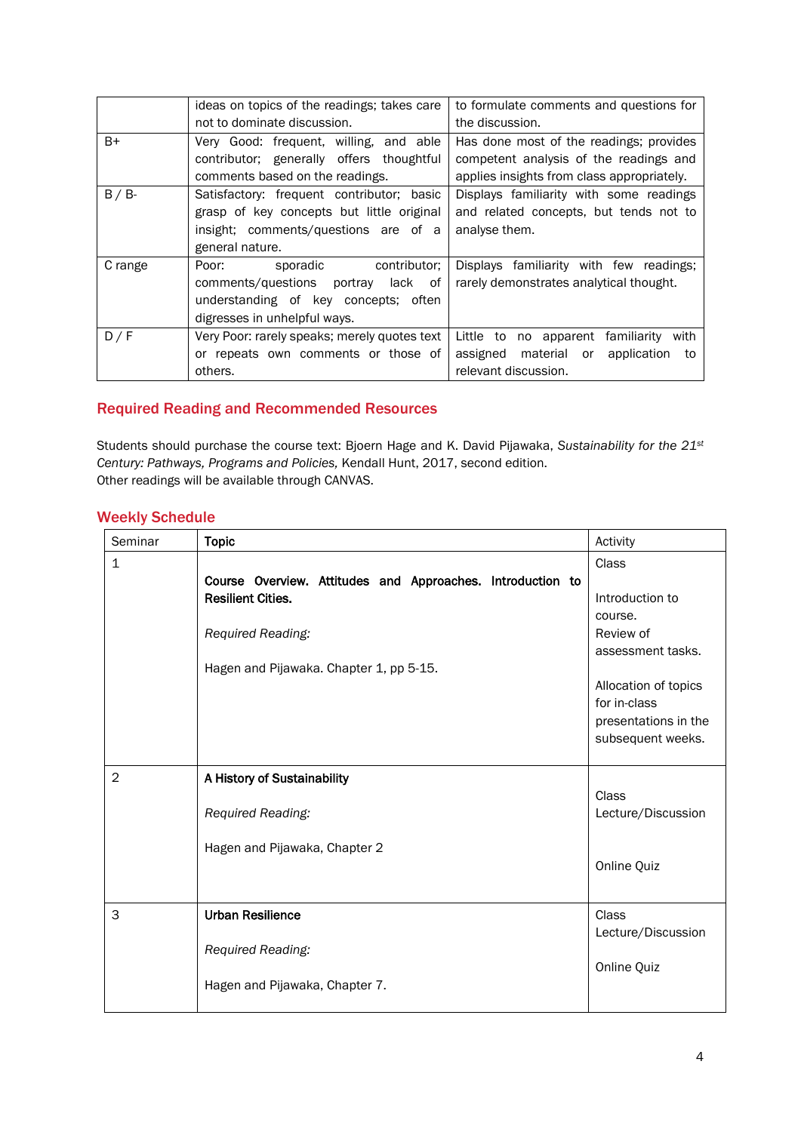|         | ideas on topics of the readings; takes care  | to formulate comments and questions for         |
|---------|----------------------------------------------|-------------------------------------------------|
|         | not to dominate discussion.                  | the discussion.                                 |
| $B+$    | Very Good: frequent, willing, and able       | Has done most of the readings; provides         |
|         | contributor; generally offers thoughtful     | competent analysis of the readings and          |
|         | comments based on the readings.              | applies insights from class appropriately.      |
| B / B   | Satisfactory: frequent contributor;<br>basic | Displays familiarity with some readings         |
|         | grasp of key concepts but little original    | and related concepts, but tends not to          |
|         | insight; comments/questions are of a         | analyse them.                                   |
|         | general nature.                              |                                                 |
| C range | contributor:<br>Poor:<br>sporadic            | Displays familiarity with few readings;         |
|         | comments/questions portray<br>of<br>lack     | rarely demonstrates analytical thought.         |
|         | understanding of key concepts; often         |                                                 |
|         | digresses in unhelpful ways.                 |                                                 |
| D/F     | Very Poor: rarely speaks; merely quotes text | Little<br>familiarity<br>to no apparent<br>with |
|         | or repeats own comments or those of          | assigned<br>material or<br>application<br>to    |
|         | others.                                      | relevant discussion.                            |

# Required Reading and Recommended Resources

Students should purchase the course text: Bjoern Hage and K. David Pijawaka, *Sustainability for the 21st Century: Pathways, Programs and Policies,* Kendall Hunt, 2017, second edition. Other readings will be available through CANVAS.

# Weekly Schedule

| Seminar        | <b>Topic</b>                                                                           | Activity             |
|----------------|----------------------------------------------------------------------------------------|----------------------|
| $\mathbf{1}$   |                                                                                        | Class                |
|                | Course Overview. Attitudes and Approaches. Introduction to<br><b>Resilient Cities.</b> | Introduction to      |
|                |                                                                                        | course.              |
|                | Required Reading:                                                                      | Review of            |
|                |                                                                                        | assessment tasks.    |
|                | Hagen and Pijawaka. Chapter 1, pp 5-15.                                                |                      |
|                |                                                                                        | Allocation of topics |
|                |                                                                                        | for in-class         |
|                |                                                                                        | presentations in the |
|                |                                                                                        | subsequent weeks.    |
| $\overline{2}$ | A History of Sustainability                                                            |                      |
|                |                                                                                        | Class                |
|                | Required Reading:                                                                      | Lecture/Discussion   |
|                |                                                                                        |                      |
|                | Hagen and Pijawaka, Chapter 2                                                          |                      |
|                |                                                                                        | Online Quiz          |
|                |                                                                                        |                      |
| 3              | <b>Urban Resilience</b>                                                                | Class                |
|                |                                                                                        | Lecture/Discussion   |
|                | Required Reading:                                                                      |                      |
|                |                                                                                        | Online Quiz          |
|                | Hagen and Pijawaka, Chapter 7.                                                         |                      |
|                |                                                                                        |                      |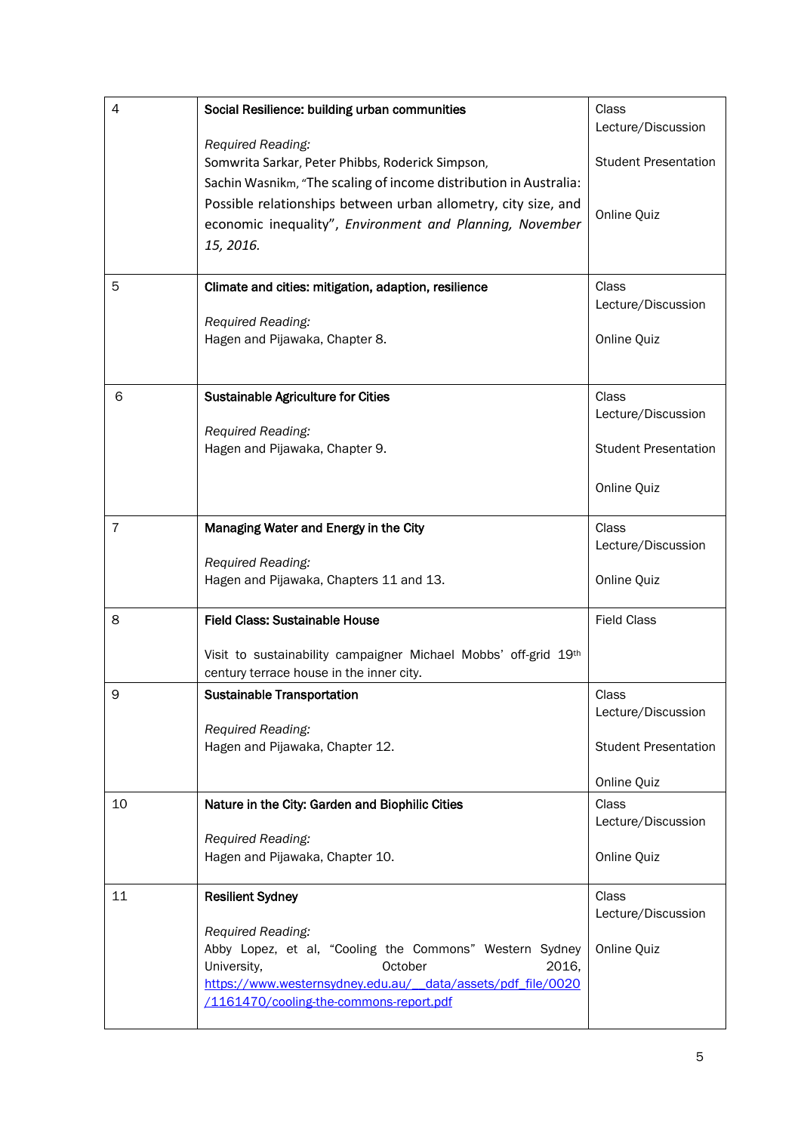| 4              | Social Resilience: building urban communities                                                                                                                                                                             | Class<br>Lecture/Discussion |
|----------------|---------------------------------------------------------------------------------------------------------------------------------------------------------------------------------------------------------------------------|-----------------------------|
|                | Required Reading:<br>Somwrita Sarkar, Peter Phibbs, Roderick Simpson,                                                                                                                                                     | <b>Student Presentation</b> |
|                | Sachin Wasnikm, "The scaling of income distribution in Australia:<br>Possible relationships between urban allometry, city size, and<br>economic inequality", Environment and Planning, November<br>15, 2016.              | Online Quiz                 |
| 5              | Climate and cities: mitigation, adaption, resilience                                                                                                                                                                      | Class<br>Lecture/Discussion |
|                | Required Reading:<br>Hagen and Pijawaka, Chapter 8.                                                                                                                                                                       | Online Quiz                 |
| 6              | <b>Sustainable Agriculture for Cities</b>                                                                                                                                                                                 | Class<br>Lecture/Discussion |
|                | Required Reading:<br>Hagen and Pijawaka, Chapter 9.                                                                                                                                                                       | <b>Student Presentation</b> |
|                |                                                                                                                                                                                                                           | Online Quiz                 |
| $\overline{7}$ | Managing Water and Energy in the City                                                                                                                                                                                     | Class<br>Lecture/Discussion |
|                | Required Reading:<br>Hagen and Pijawaka, Chapters 11 and 13.                                                                                                                                                              | Online Quiz                 |
| 8              | <b>Field Class: Sustainable House</b>                                                                                                                                                                                     | <b>Field Class</b>          |
|                | Visit to sustainability campaigner Michael Mobbs' off-grid 19th<br>century terrace house in the inner city.                                                                                                               |                             |
| 9              | <b>Sustainable Transportation</b>                                                                                                                                                                                         | Class<br>Lecture/Discussion |
|                | Required Reading:<br>Hagen and Pijawaka, Chapter 12.                                                                                                                                                                      | <b>Student Presentation</b> |
|                |                                                                                                                                                                                                                           | Online Quiz                 |
| 10             | Nature in the City: Garden and Biophilic Cities                                                                                                                                                                           | Class                       |
|                | Required Reading:                                                                                                                                                                                                         | Lecture/Discussion          |
|                | Hagen and Pijawaka, Chapter 10.                                                                                                                                                                                           | Online Quiz                 |
| 11             | <b>Resilient Sydney</b>                                                                                                                                                                                                   | Class<br>Lecture/Discussion |
|                | Required Reading:<br>Abby Lopez, et al, "Cooling the Commons" Western Sydney<br>University,<br>October<br>2016,<br>https://www.westernsydney.edu.au/ data/assets/pdf_file/0020<br>/1161470/cooling-the-commons-report.pdf | Online Quiz                 |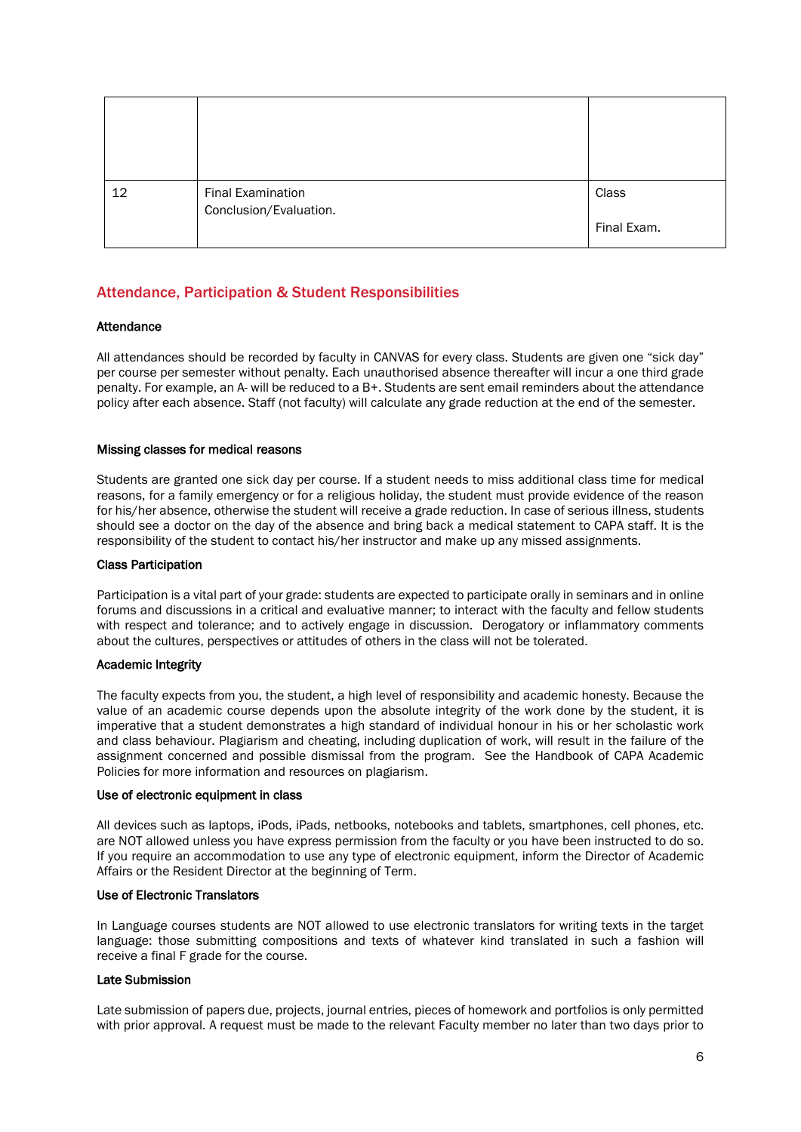| 12 | <b>Final Examination</b><br>Conclusion/Evaluation. | Class       |
|----|----------------------------------------------------|-------------|
|    |                                                    | Final Exam. |

# Attendance, Participation & Student Responsibilities

### Attendance

All attendances should be recorded by faculty in CANVAS for every class. Students are given one "sick day" per course per semester without penalty. Each unauthorised absence thereafter will incur a one third grade penalty. For example, an A- will be reduced to a B+. Students are sent email reminders about the attendance policy after each absence. Staff (not faculty) will calculate any grade reduction at the end of the semester.

### Missing classes for medical reasons

Students are granted one sick day per course. If a student needs to miss additional class time for medical reasons, for a family emergency or for a religious holiday, the student must provide evidence of the reason for his/her absence, otherwise the student will receive a grade reduction. In case of serious illness, students should see a doctor on the day of the absence and bring back a medical statement to CAPA staff. It is the responsibility of the student to contact his/her instructor and make up any missed assignments.

### Class Participation

Participation is a vital part of your grade: students are expected to participate orally in seminars and in online forums and discussions in a critical and evaluative manner; to interact with the faculty and fellow students with respect and tolerance; and to actively engage in discussion. Derogatory or inflammatory comments about the cultures, perspectives or attitudes of others in the class will not be tolerated.

### Academic Integrity

The faculty expects from you, the student, a high level of responsibility and academic honesty. Because the value of an academic course depends upon the absolute integrity of the work done by the student, it is imperative that a student demonstrates a high standard of individual honour in his or her scholastic work and class behaviour. Plagiarism and cheating, including duplication of work, will result in the failure of the assignment concerned and possible dismissal from the program. See the Handbook of CAPA Academic Policies for more information and resources on plagiarism.

#### Use of electronic equipment in class

All devices such as laptops, iPods, iPads, netbooks, notebooks and tablets, smartphones, cell phones, etc. are NOT allowed unless you have express permission from the faculty or you have been instructed to do so. If you require an accommodation to use any type of electronic equipment, inform the Director of Academic Affairs or the Resident Director at the beginning of Term.

### Use of Electronic Translators

In Language courses students are NOT allowed to use electronic translators for writing texts in the target language: those submitting compositions and texts of whatever kind translated in such a fashion will receive a final F grade for the course.

### Late Submission

Late submission of papers due, projects, journal entries, pieces of homework and portfolios is only permitted with prior approval. A request must be made to the relevant Faculty member no later than two days prior to